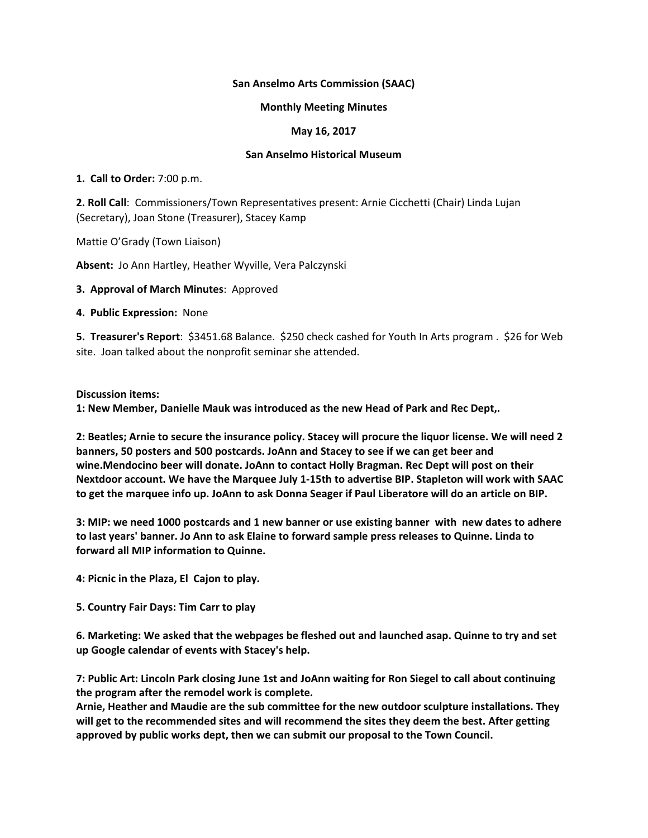## **San Anselmo Arts Commission (SAAC)**

## **Monthly Meeting Minutes**

## **May 16, 2017**

## **San Anselmo Historical Museum**

**1. Call to Order:** 7:00 p.m.

**2. Roll Call**: Commissioners/Town Representatives present: Arnie Cicchetti (Chair) Linda Lujan (Secretary), Joan Stone (Treasurer), Stacey Kamp

Mattie O'Grady (Town Liaison)

**Absent:** Jo Ann Hartley, Heather Wyville, Vera Palczynski

**3. Approval of March Minutes**: Approved

**4. Public Expression:** None

**5. Treasurer's Report**: \$3451.68 Balance. \$250 check cashed for Youth In Arts program . \$26 for Web site. Joan talked about the nonprofit seminar she attended.

**Discussion items:**

**1: New Member, Danielle Mauk was introduced as the new Head of Park and Rec Dept,.**

2: Beatles; Arnie to secure the insurance policy. Stacey will procure the liquor license. We will need 2 **banners, 50 posters and 500 postcards. JoAnn and Stacey to see if we can get beer and wine.Mendocino beer will donate. JoAnn to contact Holly Bragman. Rec Dept will post on their Nextdoor account. We have the Marquee July 1‐15th to advertise BIP. Stapleton will work with SAAC** to get the marquee info up. JoAnn to ask Donna Seager if Paul Liberatore will do an article on BIP.

3: MIP: we need 1000 postcards and 1 new banner or use existing banner with new dates to adhere **to last years' banner. Jo Ann to ask Elaine to forward sample press releases to Quinne. Linda to forward all MIP information to Quinne.**

**4: Picnic in the Plaza, El Cajon to play.**

**5. Country Fair Days: Tim Carr to play**

**6. Marketing: We asked that the webpages be fleshed out and launched asap. Quinne to try and set up Google calendar of events with Stacey's help.**

7: Public Art: Lincoln Park closing June 1st and JoAnn waiting for Ron Siegel to call about continuing **the program after the remodel work is complete.**

**Arnie, Heather and Maudie are the sub committee for the new outdoor sculpture installations. They will get to the recommended sites and will recommend the sites they deem the best. After getting approved by public works dept, then we can submit our proposal to the Town Council.**